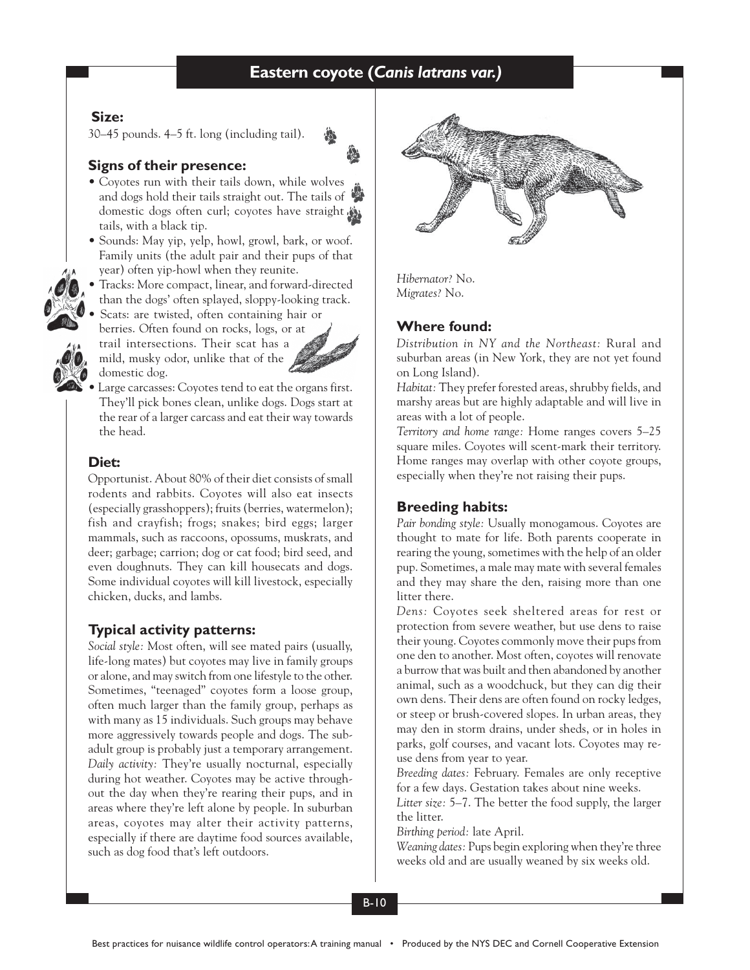# **Coyote Eastern coyote (***Canis latrans var.)*

## **Size:**

30–45 pounds. 4–5 ft. long (including tail).



## **Signs of their presence:**

- Coyotes run with their tails down, while wolves and dogs hold their tails straight out. The tails of domestic dogs often curl; coyotes have straight tails, with a black tip.
- Sounds: May yip, yelp, howl, growl, bark, or woof. Family units (the adult pair and their pups of that year) often yip-howl when they reunite.
- Tracks: More compact, linear, and forward-directed
- than the dogs' often splayed, sloppy-looking track. • Scats: are twisted, often containing hair or berries. Often found on rocks, logs, or at trail intersections. Their scat has a mild, musky odor, unlike that of the



domestic dog. Large carcasses: Coyotes tend to eat the organs first. They'll pick bones clean, unlike dogs. Dogs start at the rear of a larger carcass and eat their way towards the head.

## **Diet:**

Opportunist. About 80% of their diet consists of small rodents and rabbits. Coyotes will also eat insects (especially grasshoppers); fruits (berries, watermelon); fish and crayfish; frogs; snakes; bird eggs; larger mammals, such as raccoons, opossums, muskrats, and deer; garbage; carrion; dog or cat food; bird seed, and even doughnuts. They can kill housecats and dogs. Some individual coyotes will kill livestock, especially chicken, ducks, and lambs.

### **Typical activity patterns:**

*Social style:* Most often, will see mated pairs (usually, life-long mates) but coyotes may live in family groups or alone, and may switch from one lifestyle to the other. Sometimes, "teenaged" coyotes form a loose group, often much larger than the family group, perhaps as with many as 15 individuals. Such groups may behave more aggressively towards people and dogs. The subadult group is probably just a temporary arrangement. *Daily activity:* They're usually nocturnal, especially during hot weather. Coyotes may be active throughout the day when they're rearing their pups, and in areas where they're left alone by people. In suburban areas, coyotes may alter their activity patterns, especially if there are daytime food sources available, such as dog food that's left outdoors.



*Hibernator?* No. *Migrates?* No.

## **Where found:**

*Distribution in NY and the Northeast:* Rural and suburban areas (in New York, they are not yet found on Long Island).

*Habitat:* They prefer forested areas, shrubby fields, and marshy areas but are highly adaptable and will live in areas with a lot of people.

*Territory and home range:* Home ranges covers 5–25 square miles. Coyotes will scent-mark their territory. Home ranges may overlap with other coyote groups, especially when they're not raising their pups.

### **Breeding habits:**

*Pair bonding style:* Usually monogamous. Coyotes are thought to mate for life. Both parents cooperate in rearing the young, sometimes with the help of an older pup. Sometimes, a male may mate with several females and they may share the den, raising more than one litter there.

*Dens:* Coyotes seek sheltered areas for rest or protection from severe weather, but use dens to raise their young. Coyotes commonly move their pups from one den to another. Most often, coyotes will renovate a burrow that was built and then abandoned by another animal, such as a woodchuck, but they can dig their own dens. Their dens are often found on rocky ledges, or steep or brush-covered slopes. In urban areas, they may den in storm drains, under sheds, or in holes in parks, golf courses, and vacant lots. Coyotes may reuse dens from year to year.

*Breeding dates:* February. Females are only receptive for a few days. Gestation takes about nine weeks.

*Litter size:* 5–7. The better the food supply, the larger the litter.

*Birthing period:* late April.

*Weaning dates:* Pups begin exploring when they're three weeks old and are usually weaned by six weeks old.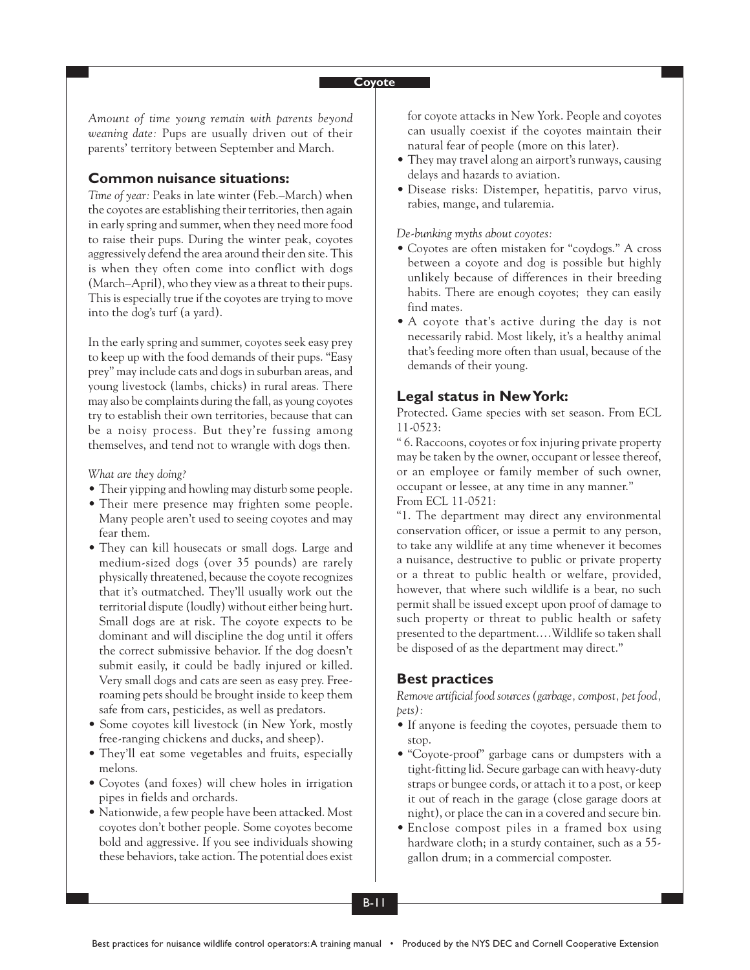*Amount of time young remain with parents beyond weaning date:* Pups are usually driven out of their parents' territory between September and March.

### **Common nuisance situations:**

*Time of year:* Peaks in late winter (Feb.–March) when the coyotes are establishing their territories, then again in early spring and summer, when they need more food to raise their pups. During the winter peak, coyotes aggressively defend the area around their den site. This is when they often come into conflict with dogs (March–April), who they view as a threat to their pups. This is especially true if the coyotes are trying to move into the dog's turf (a yard).

In the early spring and summer, coyotes seek easy prey to keep up with the food demands of their pups. "Easy prey" may include cats and dogs in suburban areas, and young livestock (lambs, chicks) in rural areas. There may also be complaints during the fall, as young coyotes try to establish their own territories, because that can be a noisy process. But they're fussing among themselves, and tend not to wrangle with dogs then.

*What are they doing?*

- Their yipping and howling may disturb some people.
- Their mere presence may frighten some people. Many people aren't used to seeing coyotes and may fear them.
- They can kill housecats or small dogs. Large and medium-sized dogs (over 35 pounds) are rarely physically threatened, because the coyote recognizes that it's outmatched. They'll usually work out the territorial dispute (loudly) without either being hurt. Small dogs are at risk. The coyote expects to be dominant and will discipline the dog until it offers the correct submissive behavior. If the dog doesn't submit easily, it could be badly injured or killed. Very small dogs and cats are seen as easy prey. Freeroaming pets should be brought inside to keep them safe from cars, pesticides, as well as predators.
- Some coyotes kill livestock (in New York, mostly free-ranging chickens and ducks, and sheep).
- They'll eat some vegetables and fruits, especially melons.
- Coyotes (and foxes) will chew holes in irrigation pipes in fields and orchards.
- Nationwide, a few people have been attacked. Most coyotes don't bother people. Some coyotes become bold and aggressive. If you see individuals showing these behaviors, take action. The potential does exist

for coyote attacks in New York. People and coyotes can usually coexist if the coyotes maintain their natural fear of people (more on this later).

- They may travel along an airport's runways, causing delays and hazards to aviation.
- Disease risks: Distemper, hepatitis, parvo virus, rabies, mange, and tularemia.

#### *De-bunking myths about coyotes:*

- Coyotes are often mistaken for "coydogs." A cross between a coyote and dog is possible but highly unlikely because of differences in their breeding habits. There are enough coyotes; they can easily find mates.
- A coyote that's active during the day is not necessarily rabid. Most likely, it's a healthy animal that's feeding more often than usual, because of the demands of their young.

### **Legal status in New York:**

Protected. Game species with set season. From ECL 11-0523:

" 6. Raccoons, coyotes or fox injuring private property may be taken by the owner, occupant or lessee thereof, or an employee or family member of such owner, occupant or lessee, at any time in any manner." From ECL 11-0521:

"1. The department may direct any environmental conservation officer, or issue a permit to any person, to take any wildlife at any time whenever it becomes a nuisance, destructive to public or private property or a threat to public health or welfare, provided, however, that where such wildlife is a bear, no such permit shall be issued except upon proof of damage to such property or threat to public health or safety presented to the department.…Wildlife so taken shall be disposed of as the department may direct."

### **Best practices**

*Remove artificial food sources (garbage, compost, pet food, pets):*

- If anyone is feeding the coyotes, persuade them to stop.
- "Coyote-proof" garbage cans or dumpsters with a tight-fitting lid. Secure garbage can with heavy-duty straps or bungee cords, or attach it to a post, or keep it out of reach in the garage (close garage doors at night), or place the can in a covered and secure bin.
- Enclose compost piles in a framed box using hardware cloth; in a sturdy container, such as a 55 gallon drum; in a commercial composter.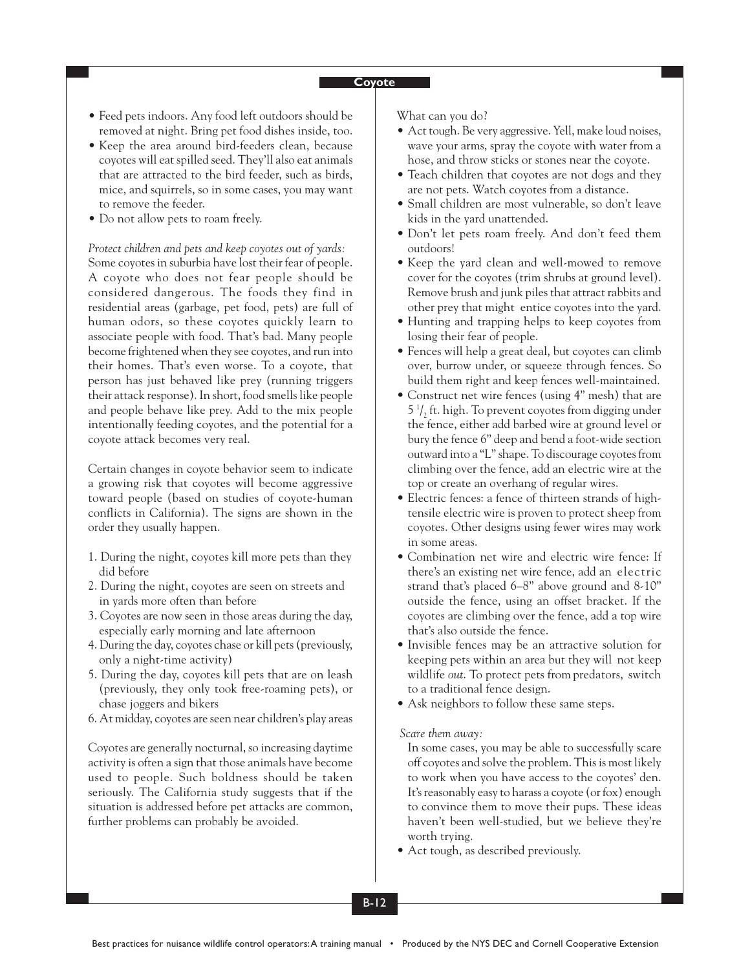- Feed pets indoors. Any food left outdoors should be removed at night. Bring pet food dishes inside, too.
- Keep the area around bird-feeders clean, because coyotes will eat spilled seed. They'll also eat animals that are attracted to the bird feeder, such as birds, mice, and squirrels, so in some cases, you may want to remove the feeder.
- Do not allow pets to roam freely.

*Protect children and pets and keep coyotes out of yards:* Some coyotes in suburbia have lost their fear of people. A coyote who does not fear people should be considered dangerous. The foods they find in residential areas (garbage, pet food, pets) are full of human odors, so these coyotes quickly learn to associate people with food. That's bad. Many people become frightened when they see coyotes, and run into their homes. That's even worse. To a coyote, that person has just behaved like prey (running triggers their attack response). In short, food smells like people and people behave like prey. Add to the mix people intentionally feeding coyotes, and the potential for a coyote attack becomes very real.

Certain changes in coyote behavior seem to indicate a growing risk that coyotes will become aggressive toward people (based on studies of coyote-human conflicts in California). The signs are shown in the order they usually happen.

- 1. During the night, coyotes kill more pets than they did before
- 2. During the night, coyotes are seen on streets and in yards more often than before
- 3. Coyotes are now seen in those areas during the day, especially early morning and late afternoon
- 4. During the day, coyotes chase or kill pets (previously, only a night-time activity)
- 5. During the day, coyotes kill pets that are on leash (previously, they only took free-roaming pets), or chase joggers and bikers
- 6. At midday, coyotes are seen near children's play areas

Coyotes are generally nocturnal, so increasing daytime activity is often a sign that those animals have become used to people. Such boldness should be taken seriously. The California study suggests that if the situation is addressed before pet attacks are common, further problems can probably be avoided.

What can you do?

- Act tough. Be very aggressive. Yell, make loud noises, wave your arms, spray the coyote with water from a hose, and throw sticks or stones near the coyote.
- Teach children that coyotes are not dogs and they are not pets. Watch coyotes from a distance.
- Small children are most vulnerable, so don't leave kids in the yard unattended.
- Don't let pets roam freely. And don't feed them outdoors!
- Keep the yard clean and well-mowed to remove cover for the coyotes (trim shrubs at ground level). Remove brush and junk piles that attract rabbits and other prey that might entice coyotes into the yard.
- Hunting and trapping helps to keep coyotes from losing their fear of people.
- Fences will help a great deal, but coyotes can climb over, burrow under, or squeeze through fences. So build them right and keep fences well-maintained.
- Construct net wire fences (using 4" mesh) that are 5 $\frac{1}{2}$  ft. high. To prevent coyotes from digging under the fence, either add barbed wire at ground level or bury the fence 6" deep and bend a foot-wide section outward into a "L" shape. To discourage coyotes from climbing over the fence, add an electric wire at the top or create an overhang of regular wires.
- Electric fences: a fence of thirteen strands of hightensile electric wire is proven to protect sheep from coyotes. Other designs using fewer wires may work in some areas.
- Combination net wire and electric wire fence: If there's an existing net wire fence, add an electric strand that's placed 6–8" above ground and 8-10" outside the fence, using an offset bracket. If the coyotes are climbing over the fence, add a top wire that's also outside the fence.
- Invisible fences may be an attractive solution for keeping pets within an area but they will not keep wildlife *out*. To protect pets from predators, switch to a traditional fence design.
- Ask neighbors to follow these same steps.

#### *Scare them away:*

In some cases, you may be able to successfully scare off coyotes and solve the problem. This is most likely to work when you have access to the coyotes' den. It's reasonably easy to harass a coyote (or fox) enough to convince them to move their pups. These ideas haven't been well-studied, but we believe they're worth trying.

• Act tough, as described previously.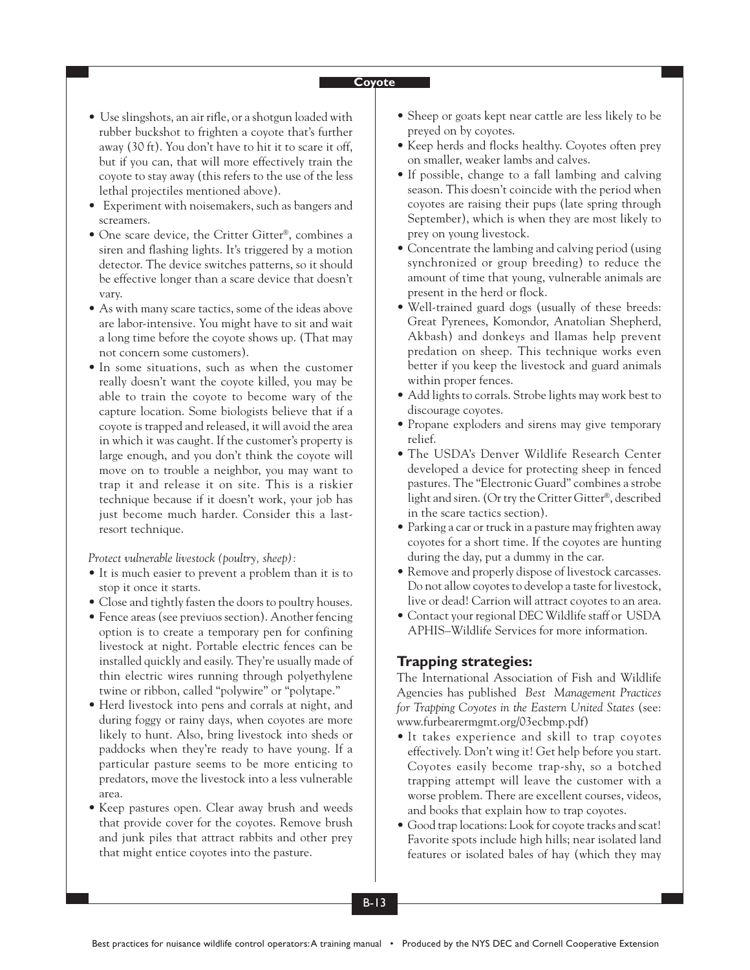- Use slingshots, an air rifle, or a shotgun loaded with rubber buckshot to frighten a coyote that's further away (30 ft). You don't have to hit it to scare it off, but if you can, that will more effectively train the coyote to stay away (this refers to the use of the less lethal projectiles mentioned above).
- Experiment with noisemakers, such as bangers and screamers.
- One scare device, the Critter Gitter®, combines a siren and flashing lights. It's triggered by a motion detector. The device switches patterns, so it should be effective longer than a scare device that doesn't vary.
- As with many scare tactics, some of the ideas above are labor-intensive. You might have to sit and wait a long time before the coyote shows up. (That may not concern some customers).
- In some situations, such as when the customer really doesn't want the coyote killed, you may be able to train the coyote to become wary of the capture location. Some biologists believe that if a coyote is trapped and released, it will avoid the area in which it was caught. If the customer's property is large enough, and you don't think the coyote will move on to trouble a neighbor, you may want to trap it and release it on site. This is a riskier technique because if it doesn't work, your job has just become much harder. Consider this a lastresort technique.

*Protect vulnerable livestock (poultry, sheep):*

- It is much easier to prevent a problem than it is to stop it once it starts.
- Close and tightly fasten the doors to poultry houses.
- Fence areas (see previuos section). Another fencing option is to create a temporary pen for confining livestock at night. Portable electric fences can be installed quickly and easily. They're usually made of thin electric wires running through polyethylene twine or ribbon, called "polywire" or "polytape."
- Herd livestock into pens and corrals at night, and during foggy or rainy days, when coyotes are more likely to hunt. Also, bring livestock into sheds or paddocks when they're ready to have young. If a particular pasture seems to be more enticing to predators, move the livestock into a less vulnerable area.
- Keep pastures open. Clear away brush and weeds that provide cover for the coyotes. Remove brush and junk piles that attract rabbits and other prey that might entice coyotes into the pasture.
- Sheep or goats kept near cattle are less likely to be preyed on by coyotes.
- Keep herds and flocks healthy. Coyotes often prey on smaller, weaker lambs and calves.
- If possible, change to a fall lambing and calving season. This doesn't coincide with the period when coyotes are raising their pups (late spring through September), which is when they are most likely to prey on young livestock.
- Concentrate the lambing and calving period (using synchronized or group breeding) to reduce the amount of time that young, vulnerable animals are present in the herd or flock.
- Well-trained guard dogs (usually of these breeds: Great Pyrenees, Komondor, Anatolian Shepherd, Akbash) and donkeys and llamas help prevent predation on sheep. This technique works even better if you keep the livestock and guard animals within proper fences.
- Add lights to corrals. Strobe lights may work best to discourage coyotes.
- Propane exploders and sirens may give temporary relief.
- The USDA's Denver Wildlife Research Center developed a device for protecting sheep in fenced pastures. The "Electronic Guard" combines a strobe light and siren. (Or try the Critter Gitter®, described in the scare tactics section).
- Parking a car or truck in a pasture may frighten away coyotes for a short time. If the coyotes are hunting during the day, put a dummy in the car.
- Remove and properly dispose of livestock carcasses. Do not allow coyotes to develop a taste for livestock, live or dead! Carrion will attract coyotes to an area.
- Contact your regional DEC Wildlife staff or USDA APHIS–Wildlife Services for more information.

### **Trapping strategies:**

The International Association of Fish and Wildlife Agencies has published *Best Management Practices for Trapping Coyotes in the Eastern United States* (see: www.furbearermgmt.org/03ecbmp.pdf)

- It takes experience and skill to trap coyotes effectively. Don't wing it! Get help before you start. Coyotes easily become trap-shy, so a botched trapping attempt will leave the customer with a worse problem. There are excellent courses, videos, and books that explain how to trap coyotes.
- Good trap locations: Look for coyote tracks and scat! Favorite spots include high hills; near isolated land features or isolated bales of hay (which they may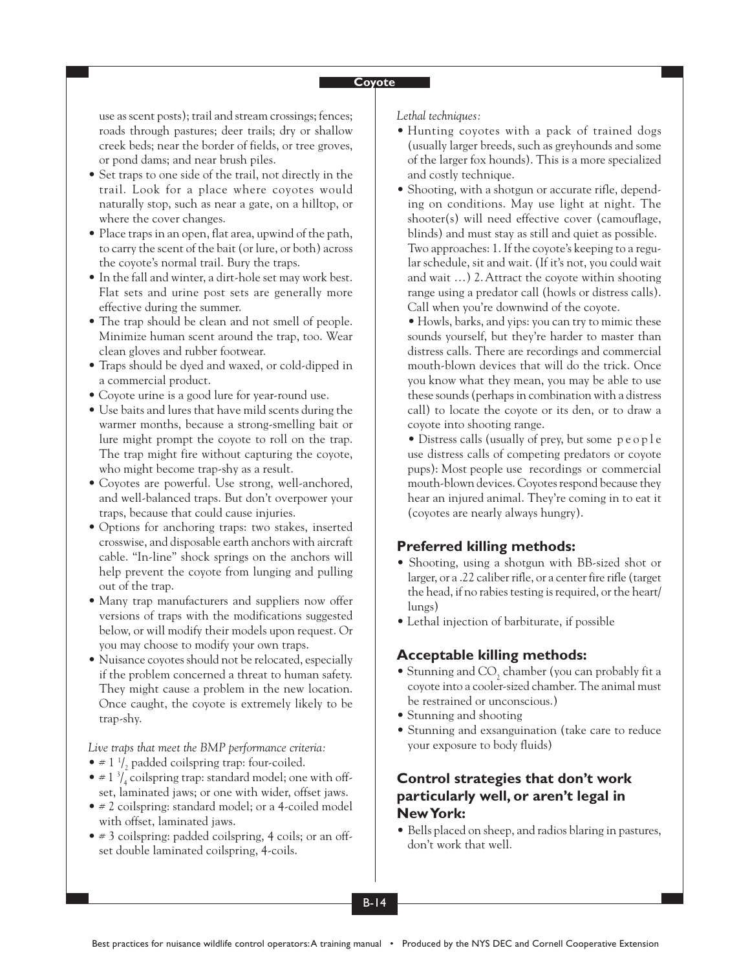use as scent posts); trail and stream crossings; fences; roads through pastures; deer trails; dry or shallow creek beds; near the border of fields, or tree groves, or pond dams; and near brush piles.

- Set traps to one side of the trail, not directly in the trail. Look for a place where coyotes would naturally stop, such as near a gate, on a hilltop, or where the cover changes.
- Place traps in an open, flat area, upwind of the path, to carry the scent of the bait (or lure, or both) across the coyote's normal trail. Bury the traps.
- In the fall and winter, a dirt-hole set may work best. Flat sets and urine post sets are generally more effective during the summer.
- The trap should be clean and not smell of people. Minimize human scent around the trap, too. Wear clean gloves and rubber footwear.
- Traps should be dyed and waxed, or cold-dipped in a commercial product.
- Coyote urine is a good lure for year-round use.
- Use baits and lures that have mild scents during the warmer months, because a strong-smelling bait or lure might prompt the coyote to roll on the trap. The trap might fire without capturing the coyote, who might become trap-shy as a result.
- Coyotes are powerful. Use strong, well-anchored, and well-balanced traps. But don't overpower your traps, because that could cause injuries.
- Options for anchoring traps: two stakes, inserted crosswise, and disposable earth anchors with aircraft cable. "In-line" shock springs on the anchors will help prevent the coyote from lunging and pulling out of the trap.
- Many trap manufacturers and suppliers now offer versions of traps with the modifications suggested below, or will modify their models upon request. Or you may choose to modify your own traps.
- Nuisance coyotes should not be relocated, especially if the problem concerned a threat to human safety. They might cause a problem in the new location. Once caught, the coyote is extremely likely to be trap-shy.

*Live traps that meet the BMP performance criteria:*

- $\neq$  1  $\frac{1}{2}$  padded coilspring trap: four-coiled.
- $\bullet$  # 1<sup>3</sup>/<sub>4</sub> coilspring trap: standard model; one with offset, laminated jaws; or one with wider, offset jaws.
- # 2 coilspring: standard model; or a 4-coiled model with offset, laminated jaws.
- # 3 coilspring: padded coilspring, 4 coils; or an offset double laminated coilspring, 4-coils.

*Lethal techniques:*

- Hunting coyotes with a pack of trained dogs (usually larger breeds, such as greyhounds and some of the larger fox hounds). This is a more specialized and costly technique.
- Shooting, with a shotgun or accurate rifle, depending on conditions. May use light at night. The shooter(s) will need effective cover (camouflage, blinds) and must stay as still and quiet as possible. Two approaches: 1. If the coyote's keeping to a regular schedule, sit and wait. (If it's not, you could wait and wait …) 2. Attract the coyote within shooting range using a predator call (howls or distress calls). Call when you're downwind of the coyote.

• Howls, barks, and yips: you can try to mimic these sounds yourself, but they're harder to master than distress calls. There are recordings and commercial mouth-blown devices that will do the trick. Once you know what they mean, you may be able to use these sounds (perhaps in combination with a distress call) to locate the coyote or its den, or to draw a coyote into shooting range.

• Distress calls (usually of prey, but some people use distress calls of competing predators or coyote pups): Most people use recordings or commercial mouth-blown devices. Coyotes respond because they hear an injured animal. They're coming in to eat it (coyotes are nearly always hungry).

### **Preferred killing methods:**

- Shooting, using a shotgun with BB-sized shot or larger, or a .22 caliber rifle, or a center fire rifle (target the head, if no rabies testing is required, or the heart/ lungs)
- Lethal injection of barbiturate, if possible

### **Acceptable killing methods:**

- Stunning and CO<sub>2</sub> chamber (you can probably fit a coyote into a cooler-sized chamber. The animal must be restrained or unconscious.)
- Stunning and shooting
- Stunning and exsanguination (take care to reduce your exposure to body fluids)

## **Control strategies that don't work particularly well, or aren't legal in New York:**

• Bells placed on sheep, and radios blaring in pastures, don't work that well.